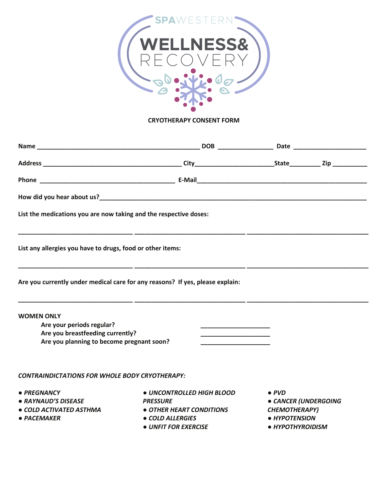

### **CRYOTHERAPY CONSENT FORM**

| List the medications you are now taking and the respective doses:                                                               |                                                                                                                             |                                                                                                    |  |
|---------------------------------------------------------------------------------------------------------------------------------|-----------------------------------------------------------------------------------------------------------------------------|----------------------------------------------------------------------------------------------------|--|
| List any allergies you have to drugs, food or other items:                                                                      |                                                                                                                             |                                                                                                    |  |
| Are you currently under medical care for any reasons? If yes, please explain:                                                   |                                                                                                                             |                                                                                                    |  |
| <b>WOMEN ONLY</b><br>Are your periods regular?<br>Are you breastfeeding currently?<br>Are you planning to become pregnant soon? | <u> 1989 - Johann John Harry Harry Harry Harry Harry Harry Harry Harry Harry Harry Harry Harry Harry Harry Harry H</u>      |                                                                                                    |  |
| <b>CONTRAINDICTATIONS FOR WHOLE BODY CRYOTHERAPY:</b>                                                                           |                                                                                                                             |                                                                                                    |  |
| • PREGNANCY<br>• RAYNAUD'S DISEASE<br>• COLD ACTIVATED ASTHMA<br>• PACEMAKER                                                    | • UNCONTROLLED HIGH BLOOD<br><b>PRESSURE</b><br>• OTHER HEART CONDITIONS<br><b>• COLD ALLERGIES</b><br>• UNFIT FOR EXERCISE | $\bullet$ PVD<br>· CANCER (UNDERGOING<br><b>CHEMOTHERAPY)</b><br>• HYPOTENSION<br>• HYPOTHYROIDISM |  |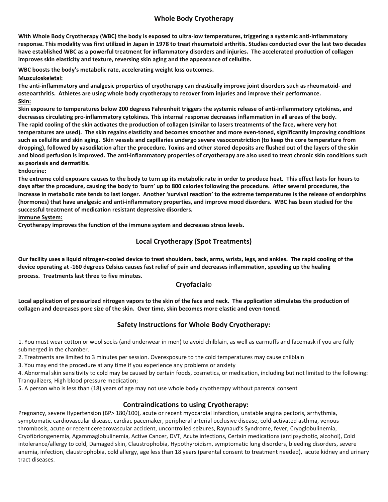# **Whole Body Cryotherapy**

With Whole Body Cryotherapy (WBC) the body is exposed to ultra-low temperatures, triggering a systemic anti-inflammatory response. This modality was first utilized in Japan in 1978 to treat rheumatoid arthritis. Studies conducted over the last two decades have established WBC as a powerful treatment for inflammatory disorders and injuries. The accelerated production of collagen **improves skin elasticity and texture, reversing skin aging and the appearance of cellulite.**

**WBC boosts the body's metabolic rate, accelerating weight loss outcomes**.

**Musculoskeletal:**

**The anti-inflammatory and analgesic properties of cryotherapy can drastically improve joint disorders such as rheumatoid- and osteoarthritis. Athletes are using whole body cryotherapy to recover from injuries and improve their performance. Skin:** 

**Skin exposure to temperatures below 200 degrees Fahrenheit triggers the systemic release of anti-inflammatory cytokines, and decreases circulating pro-inflammatory cytokines. This internal response decreases inflammation in all areas of the body. The rapid cooling of the skin activates the production of collagen (similar to lasers treatments of the face, where very hot temperatures are used). The skin regains elasticity and becomes smoother and more even-toned, significantly improving conditions such as cellulite and skin aging. Skin vessels and capillaries undergo severe vasoconstriction (to keep the core temperature from dropping), followed by vasodilation after the procedure. Toxins and other stored deposits are flushed out of the layers of the skin and blood perfusion is improved. The anti-inflammatory properties of cryotherapy are also used to treat chronic skin conditions such as psoriasis and dermatitis.** 

**Endocrine:** 

**The extreme cold exposure causes to the body to turn up its metabolic rate in order to produce heat. This effect lasts for hours to days after the procedure, causing the body to 'burn' up to 800 calories following the procedure. After several procedures, the increase in metabolic rate tends to last longer. Another 'survival reaction' to the extreme temperatures is the release of endorphins (hormones) that have analgesic and anti-inflammatory properties, and improve mood disorders. WBC has been studied for the successful treatment of medication resistant depressive disorders.** 

**Immune System:**

**Cryotherapy improves the function of the immune system and decreases stress levels.** 

# **Local Cryotherapy (Spot Treatments)**

**Our facility uses a liquid nitrogen-cooled device to treat shoulders, back, arms, wrists, legs, and ankles. The rapid cooling of the device operating at -160 degrees Celsius causes fast relief of pain and decreases inflammation, speeding up the healing process. Treatments last three to five minutes**.

# **Cryofacial©**

**Local application of pressurized nitrogen vapors to the skin of the face and neck. The application stimulates the production of collagen and decreases pore size of the skin. Over time, skin becomes more elastic and even-toned.** 

# **Safety Instructions for Whole Body Cryotherapy:**

1. You must wear cotton or wool socks (and underwear in men) to avoid chilblain, as well as earmuffs and facemask if you are fully submerged in the chamber.

2. Treatments are limited to 3 minutes per session. Overexposure to the cold temperatures may cause chilblain

3. You may end the procedure at any time if you experience any problems or anxiety

4. Abnormal skin sensitivity to cold may be caused by certain foods, cosmetics, or medication, including but not limited to the following: Tranquilizers, High blood pressure medication;

5. A person who is less than (18) years of age may not use whole body cryotherapy without parental consent

# **Contraindications to using Cryotherapy:**

Pregnancy, severe Hypertension (BP> 180/100), acute or recent myocardial infarction, unstable angina pectoris, arrhythmia, symptomatic cardiovascular disease, cardiac pacemaker, peripheral arterial occlusive disease, cold-activated asthma, venous thrombosis, acute or recent cerebrovascular accident, uncontrolled seizures, Raynaud's Syndrome, fever, Cryoglobulinemia, Cryofibriongenemia, Agammaglobulinemia, Active Cancer, DVT, Acute infections, Certain medications (antipsychotic, alcohol), Cold intolerance/allergy to cold, Damaged skin, Claustrophobia, Hypothyroidism, symptomatic lung disorders, bleeding disorders, severe anemia, infection, claustrophobia, cold allergy, age less than 18 years (parental consent to treatment needed), acute kidney and urinary tract diseases.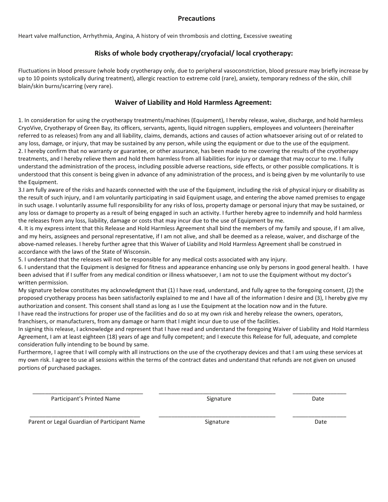### **Precautions**

Heart valve malfunction, Arrhythmia, Angina, A history of vein thrombosis and clotting, Excessive sweating

### **Risks of whole body cryotherapy/cryofacial/ local cryotherapy:**

Fluctuations in blood pressure (whole body cryotherapy only, due to peripheral vasoconstriction, blood pressure may briefly increase by up to 10 points systolically during treatment), allergic reaction to extreme cold (rare), anxiety, temporary redness of the skin, chill blain/skin burns/scarring (very rare).

# **Waiver of Liability and Hold Harmless Agreement:**

1. In consideration for using the cryotherapy treatments/machines (Equipment), I hereby release, waive, discharge, and hold harmless CryoVive, Cryotherapy of Green Bay, its officers, servants, agents, liquid nitrogen suppliers, employees and volunteers (hereinafter referred to as releases) from any and all liability, claims, demands, actions and causes of action whatsoever arising out of or related to any loss, damage, or injury, that may be sustained by any person, while using the equipment or due to the use of the equipment. 2. I hereby confirm that no warranty or guarantee, or other assurance, has been made to me covering the results of the cryotherapy treatments, and I hereby relieve them and hold them harmless from all liabilities for injury or damage that may occur to me. I fully understand the administration of the process, including possible adverse reactions, side effects, or other possible complications. It is understood that this consent is being given in advance of any administration of the process, and is being given by me voluntarily to use the Equipment.

3.I am fully aware of the risks and hazards connected with the use of the Equipment, including the risk of physical injury or disability as the result of such injury, and I am voluntarily participating in said Equipment usage, and entering the above named premises to engage in such usage. I voluntarily assume full responsibility for any risks of loss, property damage or personal injury that may be sustained, or any loss or damage to property as a result of being engaged in such an activity. I further hereby agree to indemnify and hold harmless the releases from any loss, liability, damage or costs that may incur due to the use of Equipment by me.

4. It is my express intent that this Release and Hold Harmless Agreement shall bind the members of my family and spouse, if I am alive, and my heirs, assignees and personal representative, if I am not alive, and shall be deemed as a release, waiver, and discharge of the above-named releases. I hereby further agree that this Waiver of Liability and Hold Harmless Agreement shall be construed in accordance with the laws of the State of Wisconsin.

5. I understand that the releases will not be responsible for any medical costs associated with any injury.

6. I understand that the Equipment is designed for fitness and appearance enhancing use only by persons in good general health. I have been advised that if I suffer from any medical condition or illness whatsoever, I am not to use the Equipment without my doctor's written permission.

My signature below constitutes my acknowledgment that (1) I have read, understand, and fully agree to the foregoing consent, (2) the proposed cryotherapy process has been satisfactorily explained to me and I have all of the information I desire and (3), I hereby give my authorization and consent. This consent shall stand as long as I use the Equipment at the location now and in the future.

I have read the instructions for proper use of the facilities and do so at my own risk and hereby release the owners, operators, franchisers, or manufacturers, from any damage or harm that I might incur due to use of the facilities.

In signing this release, I acknowledge and represent that I have read and understand the foregoing Waiver of Liability and Hold Harmless Agreement, I am at least eighteen (18) years of age and fully competent; and I execute this Release for full, adequate, and complete consideration fully intending to be bound by same.

Furthermore, I agree that I will comply with all instructions on the use of the cryotherapy devices and that I am using these services at my own risk. I agree to use all sessions within the terms of the contract dates and understand that refunds are not given on unused portions of purchased packages.

\_\_\_\_\_\_\_\_\_\_\_\_\_\_\_\_\_\_\_\_\_\_\_\_\_\_\_\_\_\_\_\_\_\_\_ \_\_\_\_\_\_\_\_\_\_\_\_\_\_\_\_\_\_\_\_\_\_\_\_\_\_\_\_\_\_\_\_\_\_\_\_\_ \_\_\_\_\_\_\_\_\_\_\_\_\_\_\_\_\_

 $\frac{1}{2}$  ,  $\frac{1}{2}$  ,  $\frac{1}{2}$  ,  $\frac{1}{2}$  ,  $\frac{1}{2}$  ,  $\frac{1}{2}$  ,  $\frac{1}{2}$  ,  $\frac{1}{2}$  ,  $\frac{1}{2}$  ,  $\frac{1}{2}$  ,  $\frac{1}{2}$  ,  $\frac{1}{2}$  ,  $\frac{1}{2}$  ,  $\frac{1}{2}$  ,  $\frac{1}{2}$  ,  $\frac{1}{2}$  ,  $\frac{1}{2}$  ,  $\frac{1}{2}$  ,  $\frac{1$ 

Participant's Printed Name **Signature** Signature **Signature** Date

Parent or Legal Guardian of Participant Name Signature Signature Signature Case of the Date